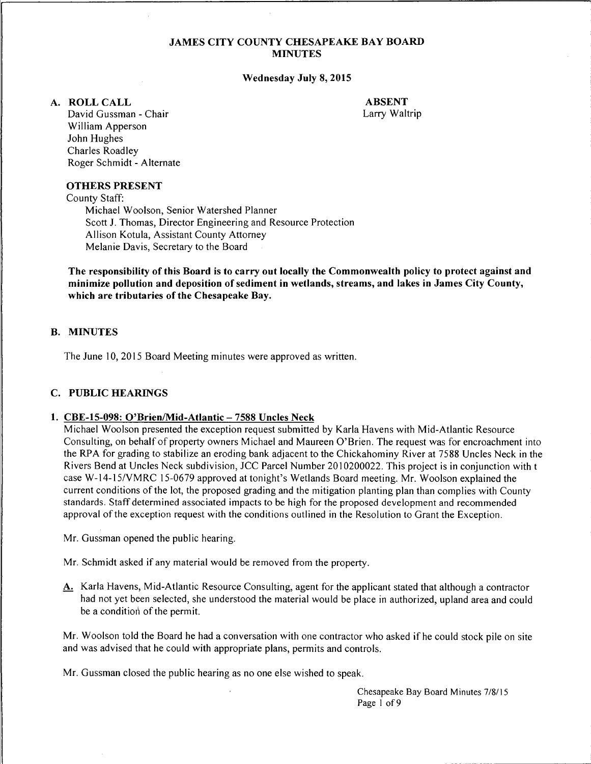### **JAMES CITY COUNTY CHESAPEAKE BAY BOARD MINUTES**

#### **Wednesday July 8, 2015**

#### **A. ROLLCALL**

**ABSENT**  Larry Waltrip

David Gussman - Chair William Apperson John Hughes Charles Roadley Roger Schmidt - Alternate

#### **OTHERS PRESENT**

County Staff: Michael Woolson, Senior Watershed Planner Scott **J.** Thomas, Director Engineering and Resource Protection Allison Kotula, Assistant County Attorney Melanie Davis, Secretary to the Board

**The responsibility of this Board is to carry out locally the Commonwealth policy to protect against and minimize pollution and deposition of sediment in wetlands, streams, and lakes in James City County, which are tributaries of the Chesapeake Bay.** 

#### **B. MINUTES**

The June 10, 2015 Board Meeting minutes were approved as written.

#### **C. PUBLIC HEARINGS**

#### **1. CBE-15-098: O'Brien/Mid-Atlantic - 7588 Uncles Neck**

Michael Woolson presented the exception request submitted by Karla Havens with Mid-Atlantic Resource Consulting, on behalf of property owners Michael and Maureen O'Brien. The request was for encroachment into the RPA for grading to stabilize an eroding bank adjacent to the Chickahominy River at 7588 Uncles Neck in the Rivers Bend at Uncles Neck subdivision, JCC Parcel Number 2010200022. This project is in conjunction with t case W-14-15/VMRC 15-0679 approved at tonight's Wetlands Board meeting. Mr. Woolson explained the current conditions of the lot, the proposed grading and the mitigation planting plan than complies with County standards. Staff determined associated impacts to be high for the proposed development and recommended approval of the exception request with the conditions outlined in the Resolution to Grant the Exception.

Mr. Gussman opened the public hearing.

Mr. Schmidt asked if any material would be removed from the property.

A. Karla Havens, Mid-Atlantic Resource Consulting, agent for the applicant stated that although a contractor had not yet been selected, she understood the material would be place in authorized, upland area and could be a condition of the permit.

Mr. Woolson told the Board he had a conversation with one contractor who asked if he could stock pile on site and was advised that he could with appropriate plans, permits and controls.

Mr. Gussman closed the public hearing as no one else wished to speak.

Chesapeake Bay Board Minutes 7/8/15 Page 1 of 9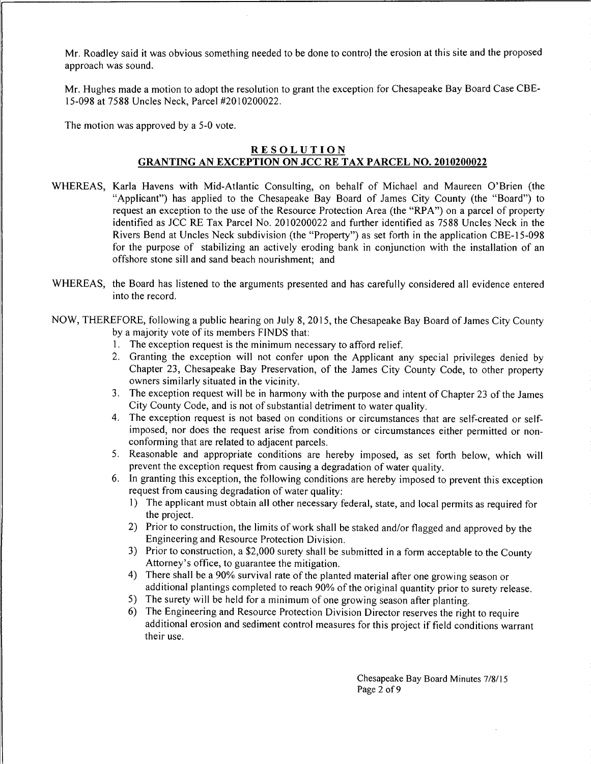Mr. Roadley said it was obvious something needed to be done to control the erosion at this site and the proposed approach was sound.

Mr. Hughes made a motion to adopt the resolution to grant the exception for Chesapeake Bay Board Case CBE-15-098 at 7588 Uncles Neck, Parcel #2010200022.

The motion was approved by a 5-0 vote.

## **RESOLUTION** GRANTING AN EXCEPTION ON JCC RE TAX PARCEL NO. 2010200022

- WHEREAS, Karla Havens with Mid-Atlantic Consulting, on behalf of Michael and Maureen O'Brien (the "Applicant") has applied to the Chesapeake Bay Board of James City County (the "Board") to request an exception to the use of the Resource Protection Area (the "RPA") on a parcel of property identified as JCC RE Tax Parcel No. 2010200022 and further identified as 7588 Uncles Neck in the Rivers Bend at Uncles Neck subdivision (the "Property") as set forth in the application CBE-15-098 for the purpose of stabilizing an actively eroding bank in conjunction with the installation of an offshore stone sill and sand beach nourishment; and
- WHEREAS, the Board has listened to the arguments presented and has carefully considered all evidence entered into the record.
- NOW, THEREFORE, following a public hearing on July 8, 2015, the Chesapeake Bay Board of James City County by a majority vote of its members FINDS that:
	- I. The exception request is the minimum necessary to afford relief.
	- 2. Granting the exception will not confer upon the Applicant any special privileges denied by Chapter 23, Chesapeake Bay Preservation, of the James City County Code, to other property owners similarly situated in the vicinity.
	- 3. The exception request will be in harmony with the purpose and intent of Chapter 23 of the James City County Code, and is not of substantial detriment to water quality.
	- 4. The exception request is not based on conditions or circumstances that are self-created or selfimposed, nor does the request arise from conditions or circumstances either permitted or nonconforming that are related to adjacent parcels.
	- 5. Reasonable and appropriate conditions are hereby imposed, as set forth below, which will prevent the exception request from causing a degradation of water quality.
	- 6. In granting this exception, the following conditions are hereby imposed to prevent this exception request from causing degradation of water quality:
		- I) The applicant must obtain all other necessary federal, state, and local permits as required for the project.
		- 2) Prior to construction, the limits of work shall be staked and/or flagged and approved by the Engineering and Resource Protection Division.
		- 3) Prior to construction, a \$2,000 surety shall be submitted in a form acceptable to the County Attorney's office, to guarantee the mitigation.
		- 4) There shall be a 90% survival rate of the planted material after one growing season or additional plantings completed to reach 90% of the original quantity prior to surety release.
		- 5) The surety will be held for a minimum of one growing season after planting.
		- 6) The Engineering and Resource Protection Division Director reserves the right to require additional erosion and sediment control measures for this project if field conditions warrant their use.

Chesapeake Bay Board Minutes 7/8/15 Page 2 of 9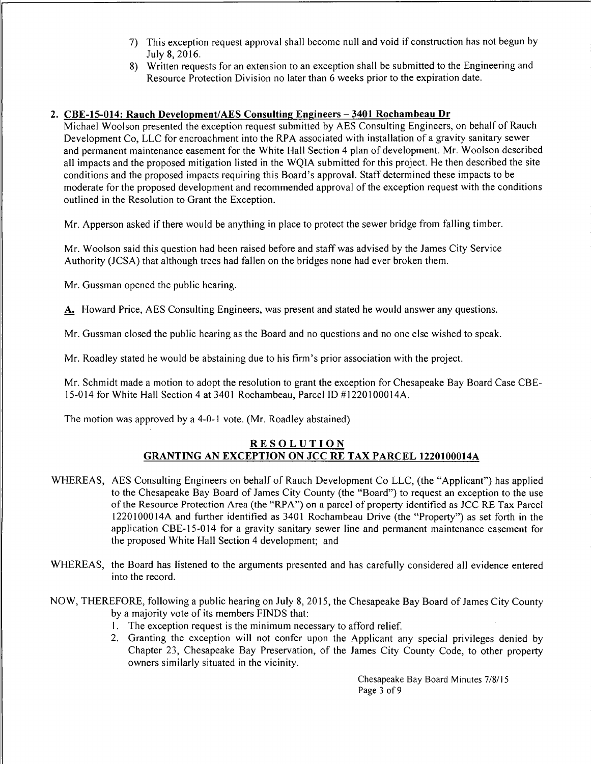- 7) This exception request approval shall become null and void if construction has not begun by July 8, 2016.
- 8) Written requests for an extension to an exception shall be submitted to the Engineering and Resource Protection Division no later than 6 weeks prior to the expiration date.

# 2. CBE-15-014: Rauch Development/AES Consulting Engineers - 3401 Rochambeau Dr

Michael Woolson presented the exception request submitted by AES Consulting Engineers, on behalf of Rauch Development Co, LLC for encroachment into the RPA associated with installation of a gravity sanitary sewer and permanent maintenance easement for the White Hall Section 4 plan of development. Mr. Woolson described all impacts and the proposed mitigation listed in the WQIA submitted for this project. He then described the site conditions and the proposed impacts requiring this Board's approval. Staff determined these impacts to be moderate for the proposed development and recommended approval of the exception request with the conditions outlined in the Resolution to Grant the Exception.

Mr. Apperson asked if there would be anything in place to protect the sewer bridge from falling timber.

Mr. Woolson said this question had been raised before and staff was advised by the James City Service Authority (JCSA) that although trees had fallen on the bridges none had ever broken them.

Mr. Gussman opened the public hearing.

A. Howard Price, AES Consulting Engineers, was present and stated he would answer any questions.

Mr. Gussman closed the public hearing as the Board and no questions and no one else wished to speak.

Mr. Roadley stated he would be abstaining due to his firm's prior association with the project.

Mr. Schmidt made a motion to adopt the resolution to grant the exception for Chesapeake Bay Board Case CBE-15-014 for White Hall Section 4 at 3401 Rochambeau, Parcel fD # 1220100014A.

The motion was approved by a 4-0-1 vote. (Mr. Roadley abstained)

# **RESOLUTION** GRANTING AN EXCEPTION ON JCC RE TAX PARCEL 1220100014A

- WHEREAS, AES Consulting Engineers on behalf of Rauch Development Co LLC, (the "Applicant") has applied to the Chesapeake Bay Board of James City County (the "Board") to request an exception to the use of the Resource Protection Area (the "RPA") on a parcel of property identified as JCC RE Tax Parcel 1220100014A and further identified as 3401 Rochambeau Drive (the "Property") as set forth in the application CBE-15-014 for a gravity sanitary sewer line and permanent maintenance easement for the proposed White Hall Section 4 development; and
- WHEREAS, the Board has listened to the arguments presented and has carefully considered all evidence entered into the record.
- NOW, THEREFORE, following a public hearing on July 8, 2015, the Chesapeake Bay Board of James City County by a majority vote of its members FINDS that:
	- I. The exception request is the minimum necessary to afford relief.
	- 2. Granting the exception will not confer upon the Applicant any special privileges denied by Chapter 23, Chesapeake Bay Preservation, of the James City County Code, to other property owners similarly situated in the vicinity.

Chesapeake Bay Board Minutes 7/8/15 Page 3 of 9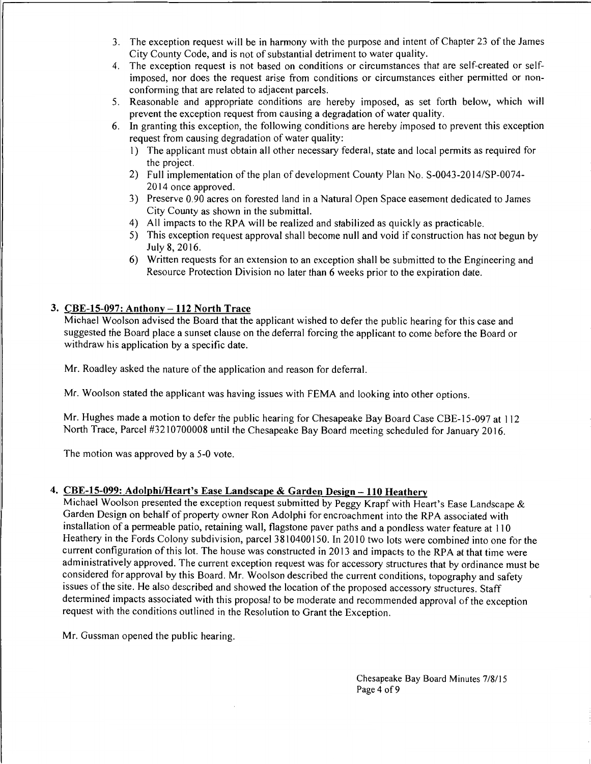- 3. The exception request will be in harmony with the purpose and intent of Chapter 23 of the James City County Code, and is not of substantial detriment to water quality.
- 4. The exception request is not based on conditions or circumstances that are self-created or selfimposed, nor does the request arise from conditions or circumstances either permitted or nonconforming that are related to adjacent parcels.
- 5. Reasonable and appropriate conditions are hereby imposed, as set forth below, which will prevent the exception request from causing a degradation of water quality.
- 6. In granting this exception, the following conditions are hereby imposed to prevent this exception request from causing degradation of water quality:
	- 1) The applicant must obtain all other necessary federal, state and local permits as required for the project.
	- 2) Full implementation of the plan of development County Plan No. S-0043-2014/SP-0074- 2014 once approved.
	- 3) Preserve 0.90 acres on forested land in a Natural Open Space easement dedicated to James City County as shown in the submittal.
	- 4) All impacts to the RPA will be realized and stabilized as quickly as practicable.
	- 5) This exception request approval shall become null and void if construction has not begun by July 8, 2016.
	- 6) Written requests for an extension to an exception shall be submitted to the Engineering and Resource Protection Division no later than 6 weeks prior to the expiration date.

# **3. CBE-15-097: Anthony-112 North Trace**

Michael Woolson advised the Board that the applicant wished to defer the public hearing for this case and suggested the Board place a sunset clause on the deferral forcing the applicant to come before the Board or withdraw his application by a specific date.

Mr. Roadley asked the nature of the application and reason for deferral.

Mr. Woolson stated the applicant was having issues with FEMA and looking into other options.

Mr. Hughes made a motion to defer the public hearing for Chesapeake Bay Board Case CBE-15-097 at 112 North Trace, Parcel #3210700008 until the Chesapeake Bay Board meeting scheduled for January 2016.

The motion was approved by a 5-0 vote.

## **4. CBE-15-099: Adolphi/Heart's** Ease **Landscape & Garden Design -110 Heathery**

Michael Woolson presented the exception request submitted by Peggy Krapf with Heart's Ease Landscape & Garden Design on behalf of property owner Ron Adolphi for encroachment into the RPA associated with installation of a permeable patio, retaining wall, flagstone paver paths and a pondless water feature at 110 Heathery in the Fords Colony subdivision, parcel 3810400150. In 2010 two lots were combined into one for the current configuration of this lot. The house was constructed in 2013 and impacts to the RPA at that time were administratively approved. The current exception request was for accessory structures that by ordinance must be considered for approval by this Board. Mr. Woolson described the current conditions, topography and safety issues of the site. He also described and showed the location of the proposed accessory structures. Staff determined impacts associated with this proposal to be moderate and recommended approval of the exception request with the conditions outlined in the Resolution to Grant the Exception.

Mr. Gussman opened the public hearing.

Chesapeake Bay Board Minutes 7/8/15 Page 4 of 9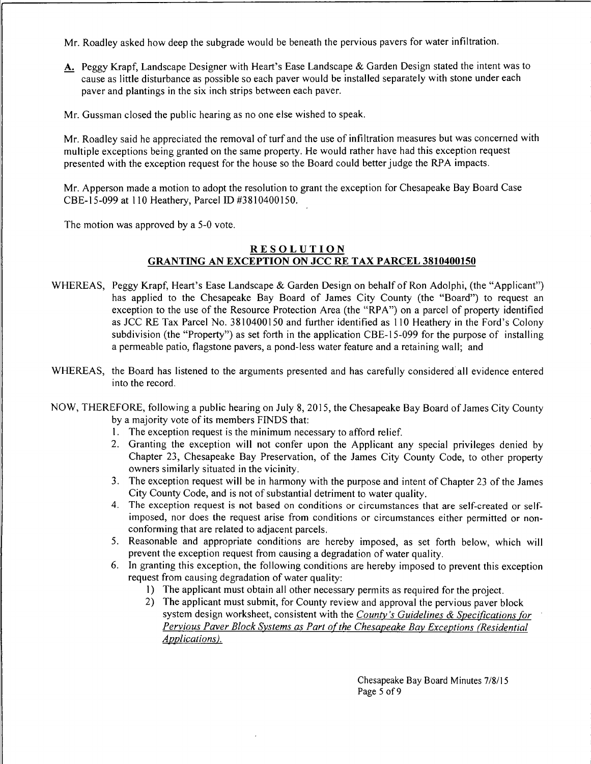Mr. Roadley asked how deep the subgrade would be beneath the pervious pavers for water infiltration.

- **A.** Peggy Krapf, Landscape Designer with Heart's Ease Landscape & Garden Design stated the intent was to cause as little disturbance as possible so each paver would be installed separately with stone under each paver and plantings in the six inch strips between each paver.
- Mr. Gussman closed the public hearing as no one else wished to speak.

Mr. Roadley said he appreciated the removal of turf and the use of infiltration measures but was concerned with multiple exceptions being granted on the same property. He would rather have had this exception request presented with the exception request for the house so the Board could better judge the RPA impacts.

Mr. Apperson made a motion to adopt the resolution to grant the exception for Chesapeake Bay Board Case CBE-15-099 at 110 Heathery, Parcel ID #3810400150.

The motion was approved by a 5-0 vote.

## **RESOLUTION GRANTING AN EXCEPTION ON JCC RE TAX PARCEL 3810400150**

- WHEREAS, Peggy Krapf, Heart's Ease Landscape & Garden Design on behalf of Ron Adolphi, (the "Applicant") has applied to the Chesapeake Bay Board of James City County (the "Board") to request an exception to the use of the Resource Protection Area (the "RPA") on a parcel of property identified as JCC RE Tax Parcel No. 3810400150 and further identified as 110 Heathery in the Ford's Colony subdivision (the "Property") as set forth in the application CBE-15-099 for the purpose of installing a permeable patio, flagstone pavers, a pond-less water feature and a retaining wall; and
- WHEREAS, the Board has listened to the arguments presented and has carefully considered all evidence entered into the record.
- NOW, THEREFORE, following a public hearing on July 8, 2015, the Chesapeake Bay Board of James City County by a majority vote of its members FINDS that:
	- 1. The exception request is the minimum necessary to afford relief.
	- 2. Granting the exception will not confer upon the Applicant any special privileges denied by Chapter 23, Chesapeake Bay Preservation, of the James City County Code, to other property owners similarly situated in the vicinity.
	- 3. The exception request will be **in** harmony with the purpose and intent of Chapter 23 of the James City County Code, and is not of substantial detriment to water quality.
	- 4. The exception request is not based on conditions or circumstances that are self-created or selfimposed, nor does the request arise from conditions or circumstances either permitted or nonconforming that are related to adjacent parcels.
	- 5. Reasonable and appropriate conditions are hereby imposed, as set forth below, which will prevent the exception request from causing a degradation of water quality.
	- 6. In granting this exception, the following conditions are hereby imposed to prevent this exception request from causing degradation of water quality:
		- l) The applicant must obtain all other necessary permits as required for the project.
		- 2) The applicant must submit, for County review and approval the pervious paver block system design worksheet, consistent with the *County's Guidelines* & *Specifications for*  **Pervious Paver Block Systems as Part of the Chesapeake Bay Exceptions (Residential** *Applications).*

Chesapeake Bay Board Minutes 7/8/15 Page 5 of 9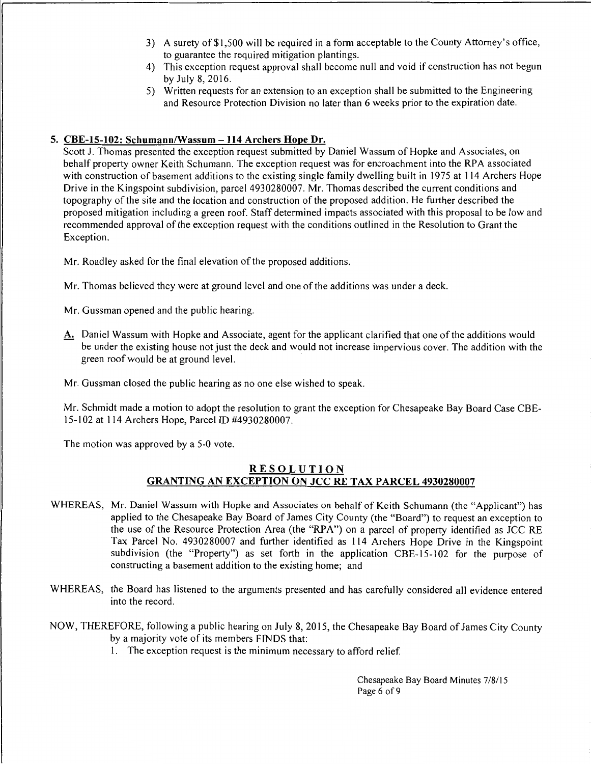- 3) A surety of \$1,500 will be required in a form acceptable to the County Attorney's office, to guarantee the required mitigation plantings.
- 4) This exception request approval shall become null and void if construction has not begun by July 8, 2016.
- 5) Written requests for an extension to an exception shall be submitted to the Engineering and Resource Protection Division no later than 6 weeks prior to the expiration date.

# 5. CBE-15-102: Schumann/Wassum -114 Archers Hope Dr.

Scott J. Thomas presented the exception request submitted by Daniel Wassum of Hopke and Associates, on behalf property owner Keith Schumann. The exception request was for encroachment into the RPA associated with construction of basement additions to the existing single family dwelling built in 1975 at 114 Archers Hope Drive in the Kingspoint subdivision, parcel 4930280007. Mr. Thomas described the current conditions and topography of the site and the location and construction of the proposed addition. He further described the proposed mitigation including a green roof. Staff determined impacts associated with this proposal to be low and recommended approval of the exception request with the conditions outlined in the Resolution to Grant the Exception.

Mr. Roadley asked for the final elevation of the proposed additions.

Mr. Thomas believed they were at ground level and one of the additions was under a deck.

Mr. Gussman opened and the public hearing.

A. Daniel Wassum with Hopke and Associate, agent for the applicant clarified that one of the additions would be under the existing house not just the deck and would not increase impervious cover. The addition with the green roof would be at ground level.

Mr. Gussman closed the public hearing as no one else wished to speak.

Mr. Schmidt made a motion to adopt the resolution to grant the exception for Chesapeake Bay Board Case CBE-15-102 at 114 Archers Hope, Parcel ID #4930280007.

The motion was approved by a 5-0 vote.

# RESOLUTION GRANTING AN EXCEPTION ON JCC RE TAX PARCEL 4930280007

- WHEREAS, Mr. Daniel Wassum with Hopke and Associates on behalf of Keith Schumann (the "Applicant") has applied to the Chesapeake Bay Board of James City County (the "Board") to request an exception to the use of the Resource Protection Area (the "RPA") on a parcel of property identified as JCC RE Tax Parcel No. 4930280007 and further identified as 114 Archers Hope Drive in the Kingspoint subdivision (the "Property") as set forth in the application CBE-15-102 for the purpose of constructing a basement addition to the existing home; and
- WHEREAS, the Board has listened to the arguments presented and has carefully considered all evidence entered into the record.
- NOW, THEREFORE, following a public hearing on July 8, 2015, the Chesapeake Bay Board of James City County by a majority vote of its members FINDS that:
	- 1. The exception request is the minimum necessary to afford relief.

Chesapeake Bay Board Minutes 7/8/15 Page 6 of 9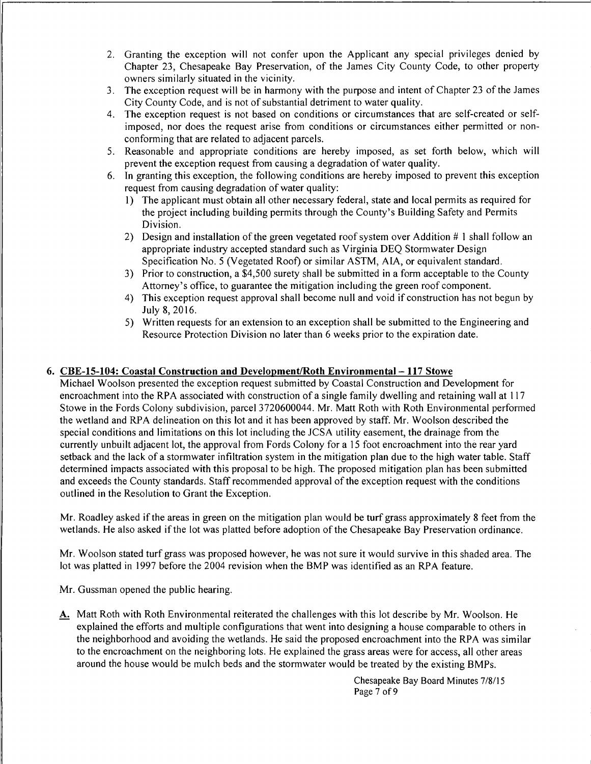- 2. Granting the exception will not confer upon the Applicant any special privileges denied by Chapter 23, Chesapeake Bay Preservation, of the James City County Code, to other property owners similarly situated in the vicinity.
- 3. The exception request will be in harmony with the purpose and intent of Chapter 23 of the James City County Code, and is not of substantial detriment to water quality.
- 4. The exception request is not based on conditions or circumstances that are self-created or selfimposed, nor does the request arise from conditions or circumstances either permitted or nonconforming that are related to adjacent parcels.
- 5. Reasonable and appropriate conditions are hereby imposed, as set forth below, which will prevent the exception request from causing a degradation of water quality.
- 6. In granting this exception, the following conditions are hereby imposed to prevent this exception request from causing degradation of water quality:
	- 1) The applicant must obtain all other necessary federal, state and local permits as required for the project including building permits through the County's Building Safety and Permits Division.
	- 2) Design and installation of the green vegetated roof system over Addition # 1 shall follow an appropriate industry accepted standard such as Virginia DEQ Stormwater Design Specification No. 5 (Vegetated Roof) or similar ASTM, AIA, or equivalent standard.
	- 3) Prior to construction, a \$4,500 surety shall be submitted in a form acceptable to the County Attorney's office, to guarantee the mitigation including the green roof component.
	- 4) This exception request approval shall become null and void if construction has not begun by July 8, 2016.
	- 5) Written requests for an extension to an exception shall be submitted to the Engineering and Resource Protection Division no later than 6 weeks prior to the expiration date.

# 6. CBE-15-104: Coastal Construction and Development/Roth Environmental - 117 Stowe

Michael Woolson presented the exception request submitted by Coastal Construction and Development for encroachment into the RPA associated with construction of a single family dwelling and retaining wall at 117 Stowe in the Fords Colony subdivision, parcel 3720600044. Mr. Matt Roth with Roth Environmental performed the wetland and RPA delineation on this lot and it has been approved by staff. Mr. Woolson described the special conditions and limitations on this lot including the JCSA utility easement, the drainage from the currently unbuilt adjacent lot, the approval from Fords Colony for a 15 foot encroachment into the rear yard setback and the lack of a stormwater infiltration system in the mitigation plan due to the high water table. Staff determined impacts associated with this proposal to be high. The proposed mitigation plan has been submitted and exceeds the County standards. Staff recommended approval of the exception request with the conditions outlined in the Resolution to Grant the Exception.

Mr. Roadley asked if the areas in green on the mitigation plan would be turf grass approximately 8 feet from the wetlands. He also asked if the lot was platted before adoption of the Chesapeake Bay Preservation ordinance.

Mr. Woolson stated turf grass was proposed however, he was not sure it would survive in this shaded area. The lot was platted in 1997 before the 2004 revision when the BMP was identified as an RPA feature.

Mr. Gussman opened the public hearing.

A. Matt Roth with Roth Environmental reiterated the challenges with this lot describe by Mr. Woolson. He explained the efforts and multiple configurations that went into designing a house comparable to others in the neighborhood and avoiding the wetlands. He said the proposed encroachment into the RPA was similar to the encroachment on the neighboring lots. He explained the grass areas were for access, all other areas around the house would be mulch beds and the stormwater would be treated by the existing BMPs.

> Chesapeake Bay Board Minutes 7/8/15 Page 7 of 9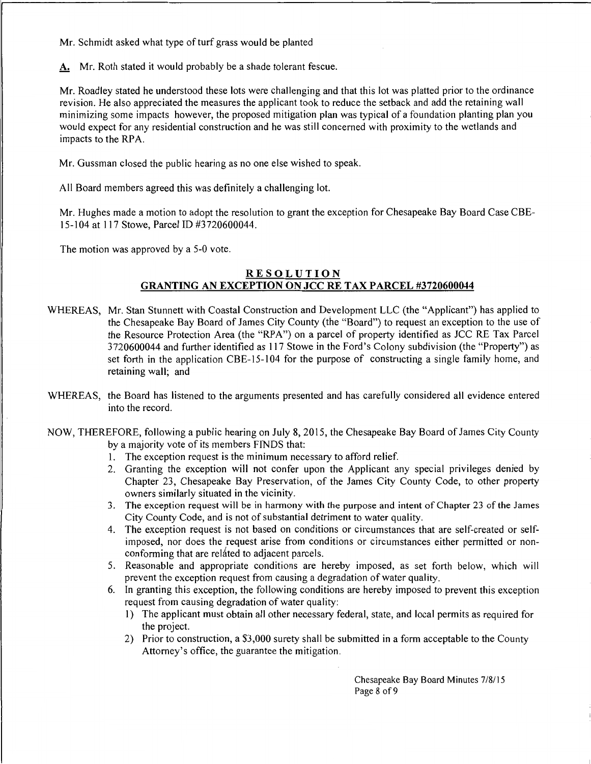Mr. Schmidt asked what type of turf grass would be planted

A. Mr. Roth stated it would probably be a shade tolerant fescue.

Mr. Roadley stated he understood these lots were challenging and that this lot was platted prior to the ordinance revision. He also appreciated the measures the applicant took to reduce the setback and add the retaining wall minimizing some impacts however, the proposed mitigation plan was typical of a foundation planting plan you would expect for any residential construction and he was still concerned with proximity to the wetlands and impacts to the RPA.

Mr. Gussman closed the public hearing as no one else wished to speak.

All Board members agreed this was definitely a challenging lot.

Mr. Hughes made a motion to adopt the resolution to grant the exception for Chesapeake Bay Board Case CBE-15-104 at 117 Stowe, Parcel ID #3 720600044.

The motion was approved by a 5-0 vote.

## **RESOLUTION GRANTING AN EXCEPTION ON JCC RE TAX PARCEL #3720600044**

- WHEREAS, Mr. Stan Stunnett with Coastal Construction and Development LLC (the "Applicant") has applied to the Chesapeake Bay Board of James City County (the "Board") to request an exception to the use of the Resource Protection Area (the "RPA") on a parcel of property identified as JCC RE Tax Parcel 3720600044 and further identified as 117 Stowe in the Ford's Colony subdivision (the "Property") as set forth in the application CBE-15-104 for the purpose of constructing a single family home, and retaining wall; and
- WHEREAS, the Board has listened to the arguments presented and has carefully considered all evidence entered into the record.
- NOW, THEREFORE, following a public hearing on July 8, 2015, the Chesapeake Bay Board of James City County by a majority vote of its members FINDS that:
	- 1. The exception request is the minimum necessary to afford relief.
	- 2. Granting the exception will not confer upon the Applicant any special privileges denied by Chapter 23, Chesapeake Bay Preservation, of the James City County Code, to other property owners similarly situated in the vicinity.
	- 3. The exception request will be in harmony with the purpose and intent of Chapter 23 of the James City County Code, and is not of substantial detriment to water quality.
	- 4. The exception request is not based on conditions or circumstances that are self-created or selfimposed, nor does the request arise from conditions or circumstances either pennitted or nonconforming that are related to adjacent parcels.
	- 5. Reasonable and appropriate conditions are hereby imposed, as set forth below, which will prevent the exception request from causing a degradation of water quality.
	- 6. In granting this exception, the following conditions are hereby imposed to prevent this exception request from causing degradation of water quality:
		- I) The applicant must obtain all other necessary federal, state, and local permits as required for the project.
		- 2) Prior to construction, a \$3,000 surety shall be submitted in a form acceptable to the County Attorney's office, the guarantee the mitigation.

Chesapeake Bay Board Minutes 7/8/15 Page 8 of 9